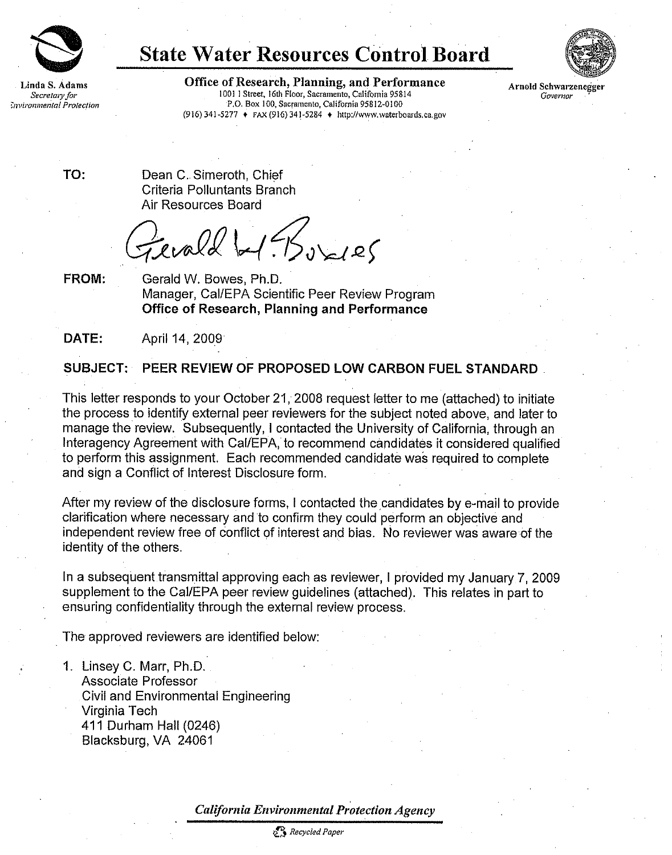

## State Water Resources Control Board



Linda S. Adams **Office of Research, Planning, and Performance** Arnold Schwarzenegger<br>Secretary for 10011 Street, 16th Floor, Sacramento, California 95814 *Governor* Secretary for 1001 1 Street, 16th Floor, Sacramento, California 95814<br>F.O. Box 100, Sacramento, California 95812-0100 P.O. Box 100, Sacramento, California 95812-0100 (916) 341-5277 + FAX (916) 341-5284 + <http://www.waterboards.ca.gov>

TO: Dean C. Simeroth, Chief Criteria Polluntants Branch Air Resources Board

 $evald$  be  $BS_{0}$ 

FROM: Gerald W. Bowes, Ph.D. Manager, Cal/EPA Scientific Peer Review Program Office of Research, Planning and Performance

DATE: April 14, 2009

## SUBJECT: PEER REVIEW OF PROPOSED LOW CARBON FUEL STANDARD

This letter responds to your October 21, 2008 request letter to me (attached) to initiate the process to identify external peer reviewers for the subject noted above, and later to manage the review. Subsequently, I contacted the University of California, through an Interagency Agreement with Cal/EPA, to recommend candidates it considered qualified to perform this assignment. Each recommended candidate was required to complete and sign a Conflict of Interest Disclosure form.

After my review of the disclosure forms, I contacted the candidates by e-mail to provide clarification where necessary and to confirm they could perform an objective and independent review free of conflict of interest and bias. No reviewer was aware of the identity of the others.

In a subsequent transmittal approving each as reviewer, I provided my January 7, 2009 supplement to the Cal/EPA peer review guidelines (attached). This relates in part to ensuring confidentiality through the external review process.

The approved reviewers are identified below:

1. Linsey C. Marr, Ph.D. Associate Professor Civil and Environmental Engineering Virginia Tech 411 Durham Hall (0246) Blacksburg, VA 24061

California Environmental Protection Agency

Recycled Paper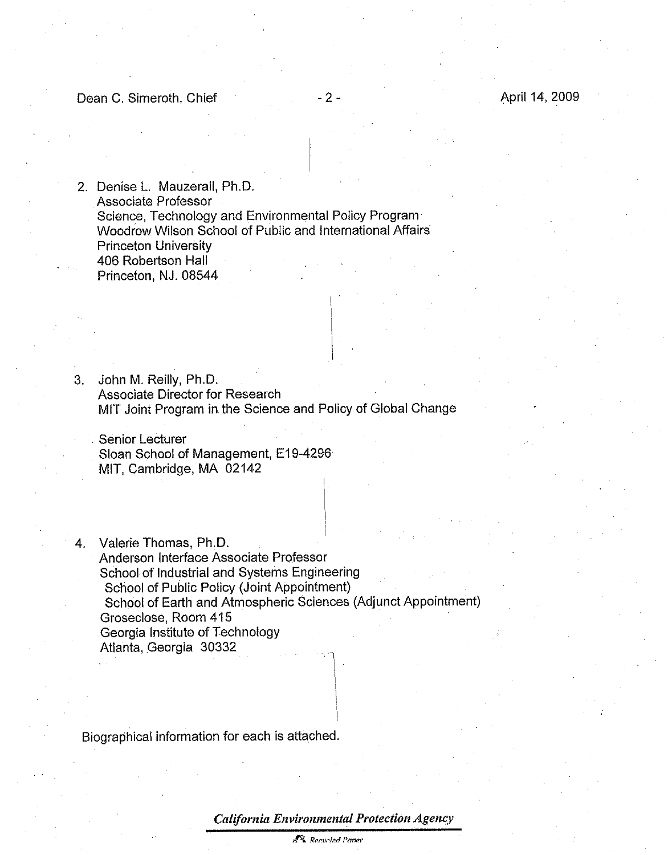2. Denise L. Mauzerall, Ph.D. Associate Professor Science, Technology and Environmental Policy Program Woodrow Wilson School of Public and International Affairs Princeton University 406 Robertson Hall Princeton, NJ. 08544

3. John M. Reilly, Ph.D. Associate Director for Research MIT Joint Program in the Science and Policy of Global Change

Senior Lecturer Sloan School of Management, E19-4296 MIT, Cambridge, MA 02142

. Valerie Thomas, Ph.D. Anderson Interface Associate Professor School of Industrial and Systems Engineering School of Public Policy (Joint Appointment) School of Earth and Atmospheric Sciences (Adjunct Appointment) Groseclose, Room 415 Georgia Institute of Technology Atlanta, Georgia 30332

Biographical information for each is attached.

California Environmental Protection Agency